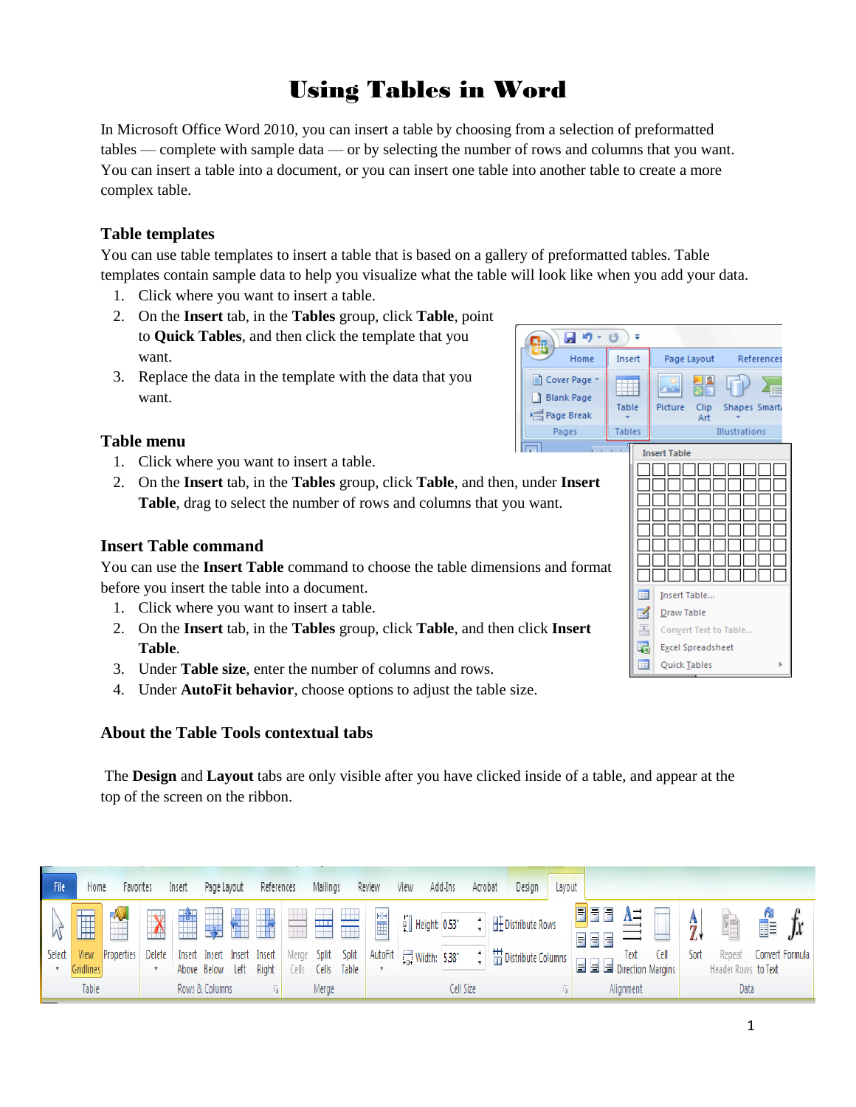# Using Tables in Word

In Microsoft Office Word 2010, you can insert a table by choosing from a selection of preformatted tables — complete with sample data — or by selecting the number of rows and columns that you want. You can insert a table into a document, or you can insert one table into another table to create a more complex table.

# **Table templates**

You can use table templates to insert a table that is based on a gallery of preformatted tables. Table templates contain sample data to help you visualize what the table will look like when you add your data.

- 1. Click where you want to insert a table.
- 2. On the **Insert** tab, in the **Tables** group, click **Table**, point to **Quick Tables**, and then click the template that you want.
- 3. Replace the data in the template with the data that you want.

## **Table menu**

- 1. Click where you want to insert a table.
- 2. On the **Insert** tab, in the **Tables** group, click **Table**, and then, under **Insert Table**, drag to select the number of rows and columns that you want.

## **Insert Table command**

You can use the **Insert Table** command to choose the table dimensions and format before you insert the table into a document.

- 1. Click where you want to insert a table.
- 2. On the **Insert** tab, in the **Tables** group, click **Table**, and then click **Insert Table**.
- 3. Under **Table size**, enter the number of columns and rows.
- 4. Under **AutoFit behavior**, choose options to adjust the table size.

## **About the Table Tools contextual tabs**

The **Design** and **Layout** tabs are only visible after you have clicked inside of a table, and appear at the top of the screen on the ribbon.

|       | File/  | Home              | Favorites  |        | Insert         | Page Layout | References                                            |       | Mailings    | Review | View                                                 | Add-Ins | Acrobat | Design                                                                                        | Layout |                         |      |      |      |                               |               |                 |
|-------|--------|-------------------|------------|--------|----------------|-------------|-------------------------------------------------------|-------|-------------|--------|------------------------------------------------------|---------|---------|-----------------------------------------------------------------------------------------------|--------|-------------------------|------|------|------|-------------------------------|---------------|-----------------|
|       |        | 僵                 |            |        |                |             |                                                       |       |             | 置      | $\begin{bmatrix} 0 \\ 1 \end{bmatrix}$ Height: 0.53* |         |         | $\div$   $\overline{\boxplus}$ Distribute Rows                                                |        |                         |      |      |      | Ŧ                             | $\frac{1}{2}$ |                 |
|       | Select | View<br>Gridlines | Properties | Delete |                |             | Insert Insert Insert Insert<br>Above Below Left Right | Cells | Cells Table |        | Merge Split Split AutoFit 1 Width: 5.38"             |         |         | $\frac{1}{2}$ $\frac{11}{11}$ Distribute Columns $\frac{1}{11}$ $\frac{1}{11}$ $\frac{1}{11}$ |        | 로 로 로 Direction Margins | Text | Cell | Sort | Repeat<br>Header Rows to Text |               | Convert Formula |
| Table |        |                   |            |        | Rows & Columns |             |                                                       | Merge |             |        | Cell Size                                            |         |         |                                                                                               |        | Alignment               |      |      | Data |                               |               |                 |



Home

Cover Page

Blank Page

Page Break

Pages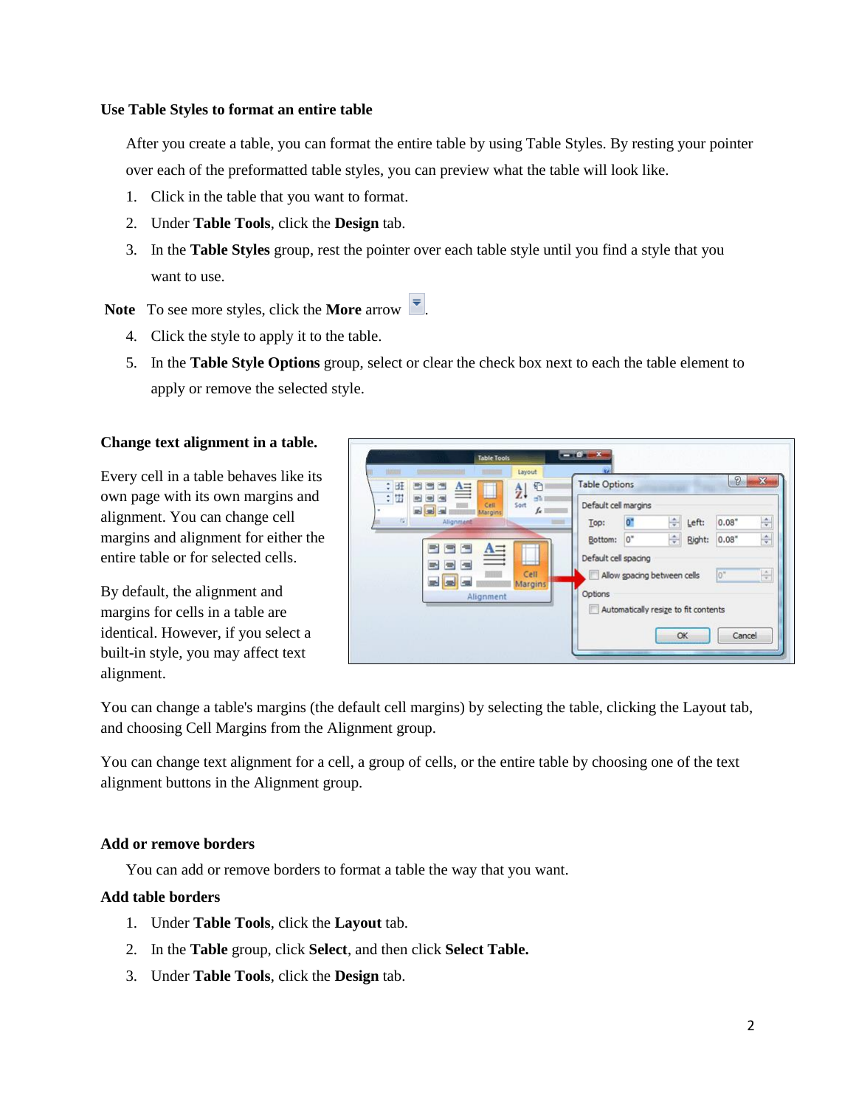#### **Use Table Styles to format an entire table**

After you create a table, you can format the entire table by using Table Styles. By resting your pointer over each of the preformatted table styles, you can preview what the table will look like.

- 1. Click in the table that you want to format.
- 2. Under **Table Tools**, click the **Design** tab.
- 3. In the **Table Styles** group, rest the pointer over each table style until you find a style that you want to use.

Note To see more styles, click the **More** arrow  $\overline{\bullet}$ .

- 4. Click the style to apply it to the table.
- 5. In the **Table Style Options** group, select or clear the check box next to each the table element to apply or remove the selected style.

#### **Change text alignment in a table.**

Every cell in a table behaves like its own page with its own margins and alignment. You can change cell margins and alignment for either the entire table or for selected cells.

By default, the alignment and margins for cells in a table are identical. However, if you select a built-in style, you may affect text alignment.

| 1003<br>٥<br>鱼<br>ЕŦ<br>圖<br>自由                                                        | Layout<br>€<br>$\frac{A}{L}$  | <b>Table Options</b>                                                                                                                    | 2                                                                 |
|----------------------------------------------------------------------------------------|-------------------------------|-----------------------------------------------------------------------------------------------------------------------------------------|-------------------------------------------------------------------|
| ໝ<br>: 围<br>圖<br>Cell<br>$\blacksquare$<br>٠<br>Margins<br>$\overline{1}$<br>Alignment | ali I<br>Sort<br>$f_{\kappa}$ | Default cell margins<br>Ō.<br>÷<br>Left:<br>Top:                                                                                        | $\frac{\star}{\star}$<br>0.08"                                    |
| 僵<br>$\triangleq$<br>$\equiv$<br>橿<br><b>STAR</b><br><b>Sec.</b><br>Alignment          | Cell<br>Margins               | 0"<br>$\div$<br>Bottom:<br>Default cell spacing<br>Allow spacing between cells<br>Options<br>Automatically resize to fit contents<br>OK | $\div$<br>0.08"<br>Right:<br>$\frac{\lambda}{q}$<br>lo"<br>Cancel |

You can change a table's margins (the default cell margins) by selecting the table, clicking the Layout tab, and choosing Cell Margins from the Alignment group.

You can change text alignment for a cell, a group of cells, or the entire table by choosing one of the text alignment buttons in the Alignment group.

#### **Add or remove borders**

You can add or remove borders to format a table the way that you want.

#### **Add table borders**

- 1. Under **Table Tools**, click the **Layout** tab.
- 2. In the **Table** group, click **Select**, and then click **Select Table.**
- 3. Under **Table Tools**, click the **Design** tab.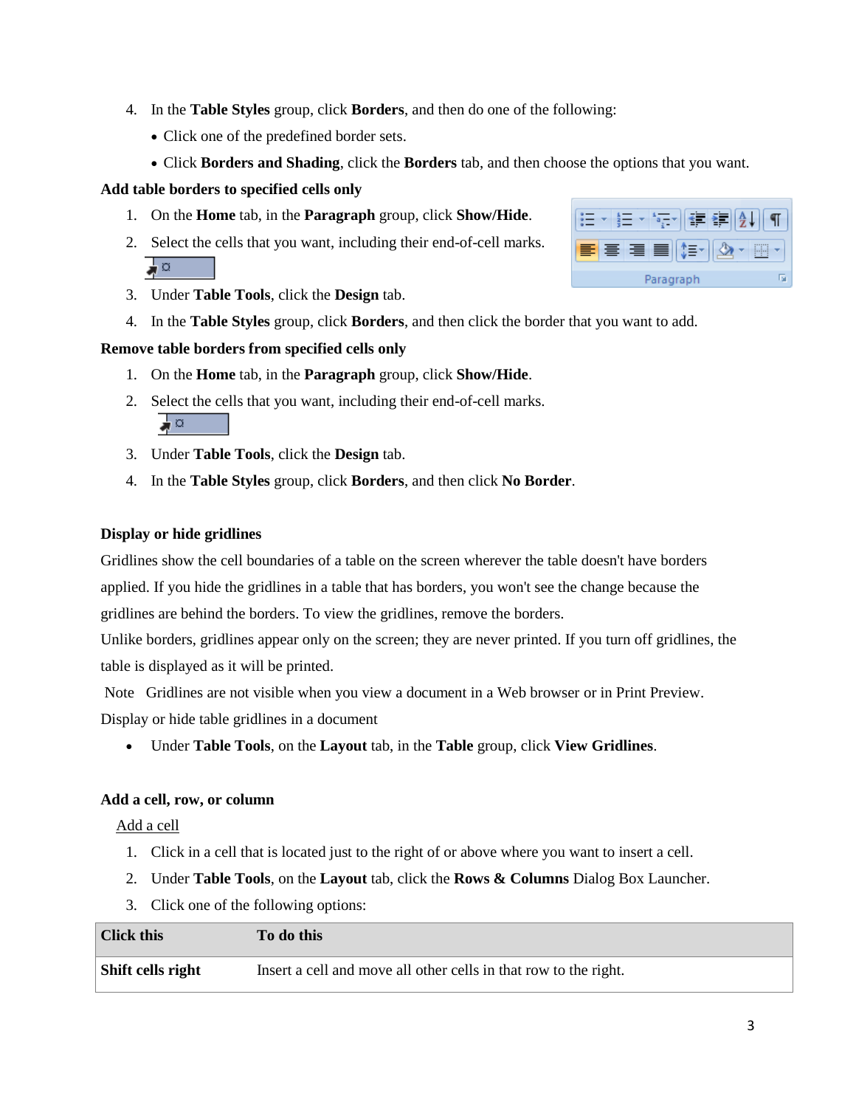- 4. In the **Table Styles** group, click **Borders**, and then do one of the following:
	- Click one of the predefined border sets.
	- Click **Borders and Shading**, click the **Borders** tab, and then choose the options that you want.

### **Add table borders to specified cells only**

- 1. On the **Home** tab, in the **Paragraph** group, click **Show/Hide**.
- 2. Select the cells that you want, including their end-of-cell marks. ∍ ¤
- 3. Under **Table Tools**, click the **Design** tab.
- 4. In the **Table Styles** group, click **Borders**, and then click the border that you want to add.

### **Remove table borders from specified cells only**

- 1. On the **Home** tab, in the **Paragraph** group, click **Show/Hide**.
- 2. Select the cells that you want, including their end-of-cell marks. ⊿¤
- 3. Under **Table Tools**, click the **Design** tab.
- 4. In the **Table Styles** group, click **Borders**, and then click **No Border**.

### **Display or hide gridlines**

Gridlines show the cell boundaries of a table on the screen wherever the table doesn't have borders applied. If you hide the gridlines in a table that has borders, you won't see the change because the gridlines are behind the borders. To view the gridlines, remove the borders.

Unlike borders, gridlines appear only on the screen; they are never printed. If you turn off gridlines, the table is displayed as it will be printed.

Note Gridlines are not visible when you view a document in a Web browser or in Print Preview. Display or hide table gridlines in a document

Under **Table Tools**, on the **Layout** tab, in the **Table** group, click **View Gridlines**.

## **Add a cell, row, or column**

Add a cell

- 1. Click in a cell that is located just to the right of or above where you want to insert a cell.
- 2. Under **Table Tools**, on the **Layout** tab, click the **Rows & Columns** Dialog Box Launcher.
- 3. Click one of the following options:

| <b>Click this</b> | To do this                                                       |
|-------------------|------------------------------------------------------------------|
| Shift cells right | Insert a cell and move all other cells in that row to the right. |

| 春情冒<br>≘  |  |
|-----------|--|
| Paragraph |  |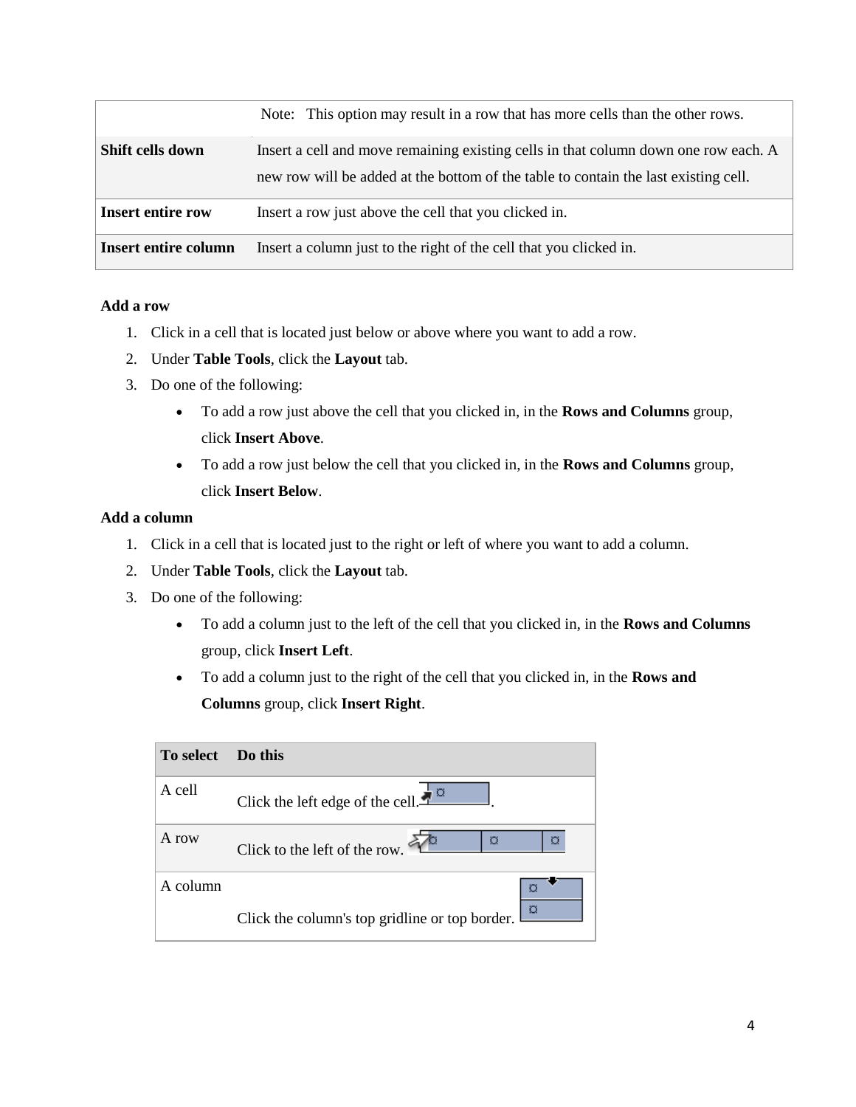|                             | Note: This option may result in a row that has more cells than the other rows.                                                                                             |
|-----------------------------|----------------------------------------------------------------------------------------------------------------------------------------------------------------------------|
| Shift cells down            | Insert a cell and move remaining existing cells in that column down one row each. A<br>new row will be added at the bottom of the table to contain the last existing cell. |
| <b>Insert entire row</b>    | Insert a row just above the cell that you clicked in.                                                                                                                      |
| <b>Insert entire column</b> | Insert a column just to the right of the cell that you clicked in.                                                                                                         |

#### **Add a row**

- 1. Click in a cell that is located just below or above where you want to add a row.
- 2. Under **Table Tools**, click the **Layout** tab.
- 3. Do one of the following:
	- To add a row just above the cell that you clicked in, in the **Rows and Columns** group, click **Insert Above**.
	- To add a row just below the cell that you clicked in, in the **Rows and Columns** group, click **Insert Below**.

### **Add a column**

- 1. Click in a cell that is located just to the right or left of where you want to add a column.
- 2. Under **Table Tools**, click the **Layout** tab.
- 3. Do one of the following:
	- To add a column just to the left of the cell that you clicked in, in the **Rows and Columns** group, click **Insert Left**.
	- To add a column just to the right of the cell that you clicked in, in the **Rows and Columns** group, click **Insert Right**.

| To select | Do this                                             |
|-----------|-----------------------------------------------------|
| A cell    | Click the left edge of the cell. $\frac{1}{2}$      |
| A row     | ø<br>ø<br>Click to the left of the row.             |
| A column  | o<br>Click the column's top gridline or top border. |
|           |                                                     |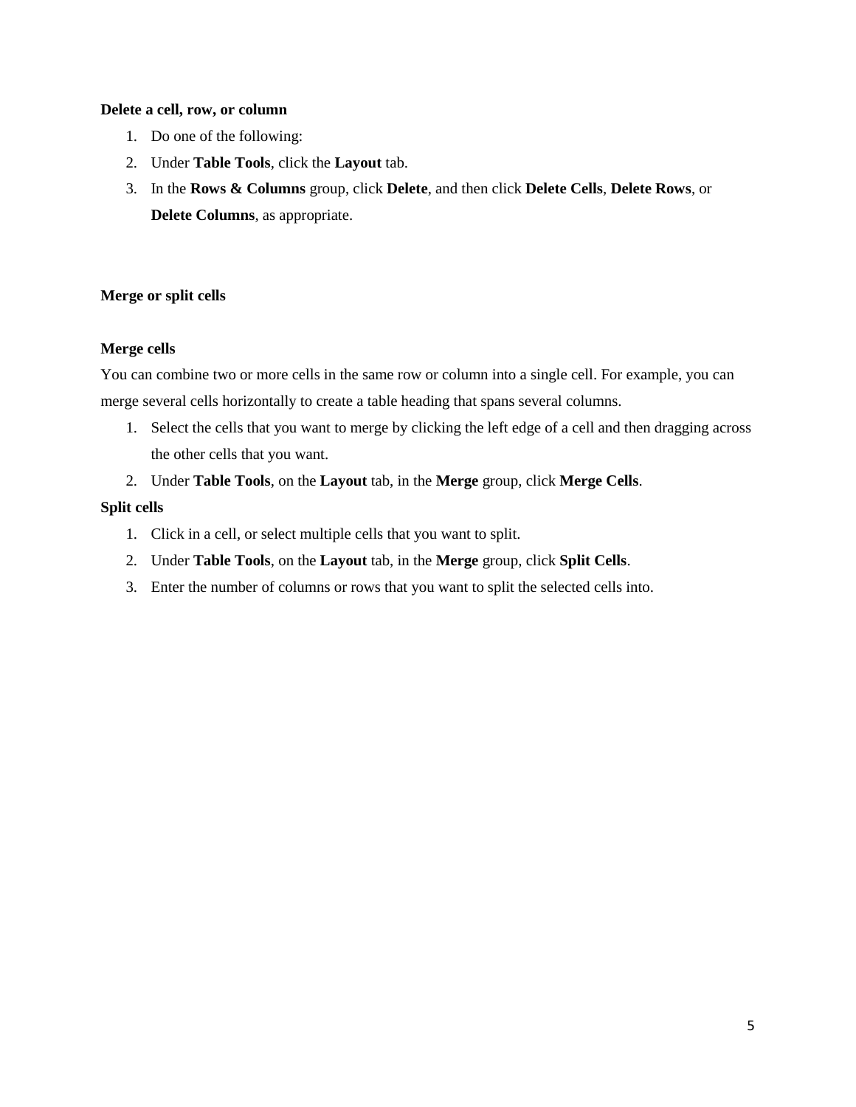#### **Delete a cell, row, or column**

- 1. Do one of the following:
- 2. Under **Table Tools**, click the **Layout** tab.
- 3. In the **Rows & Columns** group, click **Delete**, and then click **Delete Cells**, **Delete Rows**, or **Delete Columns**, as appropriate.

### **Merge or split cells**

#### **Merge cells**

You can combine two or more cells in the same row or column into a single cell. For example, you can merge several cells horizontally to create a table heading that spans several columns.

- 1. Select the cells that you want to merge by clicking the left edge of a cell and then dragging across the other cells that you want.
- 2. Under **Table Tools**, on the **Layout** tab, in the **Merge** group, click **Merge Cells**.

#### **Split cells**

- 1. Click in a cell, or select multiple cells that you want to split.
- 2. Under **Table Tools**, on the **Layout** tab, in the **Merge** group, click **Split Cells**.
- 3. Enter the number of columns or rows that you want to split the selected cells into.